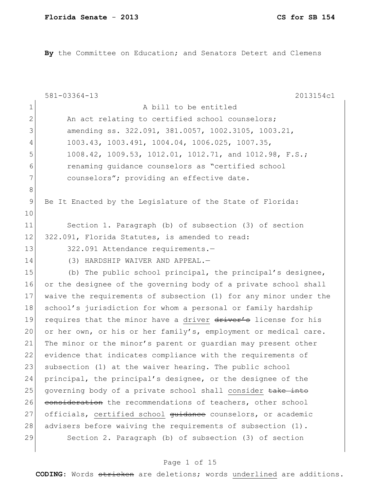**By** the Committee on Education; and Senators Detert and Clemens

|              | $581 - 03364 - 13$<br>2013154c1                                  |
|--------------|------------------------------------------------------------------|
| $\mathbf{1}$ | A bill to be entitled                                            |
| $\mathbf{2}$ | An act relating to certified school counselors;                  |
| 3            | amending ss. 322.091, 381.0057, 1002.3105, 1003.21,              |
| 4            | 1003.43, 1003.491, 1004.04, 1006.025, 1007.35,                   |
| 5            | 1008.42, 1009.53, 1012.01, 1012.71, and 1012.98, F.S.;           |
| 6            | renaming guidance counselors as "certified school                |
| 7            | counselors"; providing an effective date.                        |
| 8            |                                                                  |
| 9            | Be It Enacted by the Legislature of the State of Florida:        |
| 10           |                                                                  |
| 11           | Section 1. Paragraph (b) of subsection (3) of section            |
| 12           | 322.091, Florida Statutes, is amended to read:                   |
| 13           | 322.091 Attendance requirements.-                                |
| 14           | (3) HARDSHIP WAIVER AND APPEAL.-                                 |
| 15           | (b) The public school principal, the principal's designee,       |
| 16           | or the designee of the governing body of a private school shall  |
| 17           | waive the requirements of subsection (1) for any minor under the |
| 18           | school's jurisdiction for whom a personal or family hardship     |
| 19           | requires that the minor have a driver driver's license for his   |
| 20           | or her own, or his or her family's, employment or medical care.  |
| 21           | The minor or the minor's parent or quardian may present other    |
| 22           | evidence that indicates compliance with the requirements of      |
| 23           | subsection (1) at the waiver hearing. The public school          |
| 24           | principal, the principal's designee, or the designee of the      |
| 25           | governing body of a private school shall consider take into      |
| 26           | consideration the recommendations of teachers, other school      |
| 27           | officials, certified school guidance counselors, or academic     |
| 28           | advisers before waiving the requirements of subsection (1).      |
| 29           | Section 2. Paragraph (b) of subsection (3) of section            |
|              |                                                                  |

# Page 1 of 15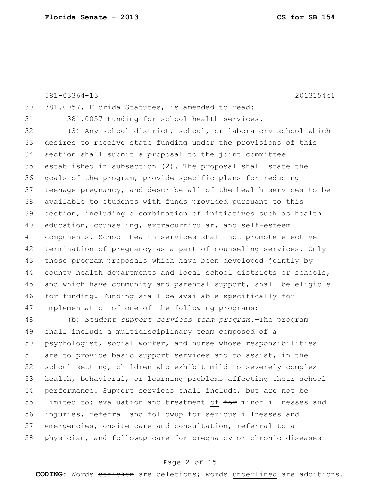|    | $581 - 03364 - 13$<br>2013154c1                                  |
|----|------------------------------------------------------------------|
| 30 | 381.0057, Florida Statutes, is amended to read:                  |
| 31 | 381.0057 Funding for school health services.-                    |
| 32 | (3) Any school district, school, or laboratory school which      |
| 33 | desires to receive state funding under the provisions of this    |
| 34 | section shall submit a proposal to the joint committee           |
| 35 | established in subsection (2). The proposal shall state the      |
| 36 | goals of the program, provide specific plans for reducing        |
| 37 | teenage pregnancy, and describe all of the health services to be |
| 38 | available to students with funds provided pursuant to this       |
| 39 | section, including a combination of initiatives such as health   |
| 40 | education, counseling, extracurricular, and self-esteem          |
| 41 | components. School health services shall not promote elective    |
| 42 | termination of pregnancy as a part of counseling services. Only  |
| 43 | those program proposals which have been developed jointly by     |
| 44 | county health departments and local school districts or schools, |
| 45 | and which have community and parental support, shall be eligible |
| 46 | for funding. Funding shall be available specifically for         |
| 47 | implementation of one of the following programs:                 |
|    |                                                                  |

48 (b) *Student support services team program.*—The program 49 shall include a multidisciplinary team composed of a 50 psychologist, social worker, and nurse whose responsibilities 51 are to provide basic support services and to assist, in the 52 school setting, children who exhibit mild to severely complex 53 health, behavioral, or learning problems affecting their school 54 performance. Support services shall include, but are not be 55 limited to: evaluation and treatment of for minor illnesses and 56 injuries, referral and followup for serious illnesses and 57 emergencies, onsite care and consultation, referral to a 58 physician, and followup care for pregnancy or chronic diseases

### Page 2 of 15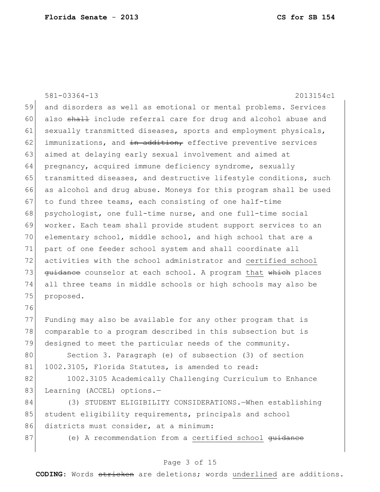581-03364-13 2013154c1 59 and disorders as well as emotional or mental problems. Services 60 also shall include referral care for drug and alcohol abuse and 61 sexually transmitted diseases, sports and employment physicals,  $62$  immunizations, and in addition, effective preventive services 63 aimed at delaying early sexual involvement and aimed at 64 pregnancy, acquired immune deficiency syndrome, sexually 65 transmitted diseases, and destructive lifestyle conditions, such 66 as alcohol and drug abuse. Moneys for this program shall be used 67 to fund three teams, each consisting of one half-time 68 psychologist, one full-time nurse, and one full-time social 69 worker. Each team shall provide student support services to an 70 elementary school, middle school, and high school that are a 71 part of one feeder school system and shall coordinate all 72 activities with the school administrator and certified school 73 guidance counselor at each school. A program that which places 74 all three teams in middle schools or high schools may also be 75 proposed. 76

77 Funding may also be available for any other program that is 78 comparable to a program described in this subsection but is 79 designed to meet the particular needs of the community.

80 Section 3. Paragraph (e) of subsection (3) of section 81 1002.3105, Florida Statutes, is amended to read:

82 1002.3105 Academically Challenging Curriculum to Enhance 83 Learning (ACCEL) options.-

84 (3) STUDENT ELIGIBILITY CONSIDERATIONS.—When establishing 85 student eligibility requirements, principals and school 86 districts must consider, at a minimum:

87 (e) A recommendation from a certified school <del>guidance</del>

### Page 3 of 15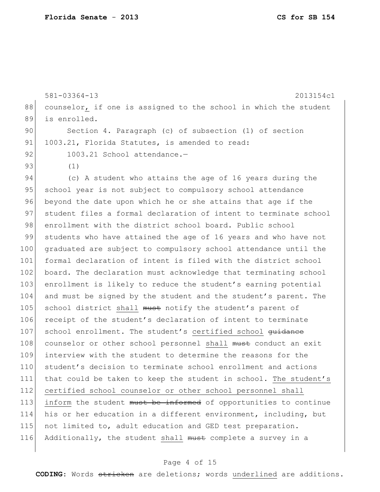|     | $581 - 03364 - 13$<br>2013154c1                                       |
|-----|-----------------------------------------------------------------------|
| 88  | counselor, if one is assigned to the school in which the student      |
| 89  | is enrolled.                                                          |
| 90  | Section 4. Paragraph (c) of subsection (1) of section                 |
| 91  | 1003.21, Florida Statutes, is amended to read:                        |
| 92  | 1003.21 School attendance.-                                           |
| 93  | (1)                                                                   |
| 94  | (c) A student who attains the age of 16 years during the              |
| 95  | school year is not subject to compulsory school attendance            |
| 96  | beyond the date upon which he or she attains that age if the          |
| 97  | student files a formal declaration of intent to terminate school      |
| 98  | enrollment with the district school board. Public school              |
| 99  | students who have attained the age of 16 years and who have not       |
| 100 | graduated are subject to compulsory school attendance until the       |
| 101 | formal declaration of intent is filed with the district school        |
| 102 | board. The declaration must acknowledge that terminating school       |
| 103 | enrollment is likely to reduce the student's earning potential        |
| 104 | and must be signed by the student and the student's parent. The       |
| 105 | school district shall must notify the student's parent of             |
| 106 | receipt of the student's declaration of intent to terminate           |
| 107 | school enrollment. The student's certified school <del>quidance</del> |
| 108 | counselor or other school personnel shall must conduct an exit        |
| 109 | interview with the student to determine the reasons for the           |
| 110 | student's decision to terminate school enrollment and actions         |
| 111 | that could be taken to keep the student in school. The student's      |
| 112 | certified school counselor or other school personnel shall            |
| 113 | inform the student must be informed of opportunities to continue      |
| 114 | his or her education in a different environment, including, but       |
| 115 | not limited to, adult education and GED test preparation.             |
| 116 | Additionally, the student shall must complete a survey in a           |
|     |                                                                       |

# Page 4 of 15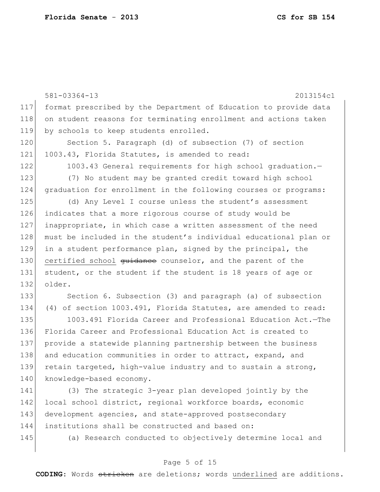|     | $581 - 03364 - 13$<br>2013154c1                                  |
|-----|------------------------------------------------------------------|
| 117 | format prescribed by the Department of Education to provide data |
| 118 | on student reasons for terminating enrollment and actions taken  |
| 119 | by schools to keep students enrolled.                            |
| 120 | Section 5. Paragraph (d) of subsection (7) of section            |
| 121 | 1003.43, Florida Statutes, is amended to read:                   |
| 122 | 1003.43 General requirements for high school graduation.-        |
| 123 | (7) No student may be granted credit toward high school          |
| 124 | graduation for enrollment in the following courses or programs:  |
| 125 | (d) Any Level I course unless the student's assessment           |
| 126 | indicates that a more rigorous course of study would be          |
| 127 | inappropriate, in which case a written assessment of the need    |
| 128 | must be included in the student's individual educational plan or |
| 129 | in a student performance plan, signed by the principal, the      |
| 130 | certified school quidance counselor, and the parent of the       |
| 131 | student, or the student if the student is 18 years of age or     |
| 132 | older.                                                           |
| 133 | Section 6. Subsection (3) and paragraph (a) of subsection        |
| 134 | (4) of section 1003.491, Florida Statutes, are amended to read:  |
| 135 | 1003.491 Florida Career and Professional Education Act.-The      |
| 136 | Florida Career and Professional Education Act is created to      |
| 137 | provide a statewide planning partnership between the business    |
| 138 | and education communities in order to attract, expand, and       |
| 139 | retain targeted, high-value industry and to sustain a strong,    |
| 140 | knowledge-based economy.                                         |
| 141 | (3) The strategic 3-year plan developed jointly by the           |
| 142 | local school district, regional workforce boards, economic       |
| 143 | development agencies, and state-approved postsecondary           |

144 institutions shall be constructed and based on:

145 (a) Research conducted to objectively determine local and

## Page 5 of 15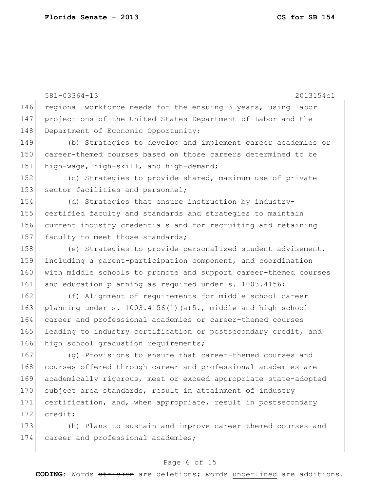581-03364-13 2013154c1 146 regional workforce needs for the ensuing 3 years, using labor 147 projections of the United States Department of Labor and the 148 Department of Economic Opportunity; 149 (b) Strategies to develop and implement career academies or 150 career-themed courses based on those careers determined to be 151 high-wage, high-skill, and high-demand; 152 (c) Strategies to provide shared, maximum use of private 153 sector facilities and personnel; 154 (d) Strategies that ensure instruction by industry-155 certified faculty and standards and strategies to maintain 156 current industry credentials and for recruiting and retaining 157 faculty to meet those standards; 158 (e) Strategies to provide personalized student advisement, 159 including a parent-participation component, and coordination 160 with middle schools to promote and support career-themed courses 161 and education planning as required under s. 1003.4156; 162 (f) Alignment of requirements for middle school career 163 planning under s.  $1003.4156(1)(a)5.$ , middle and high school 164 career and professional academies or career-themed courses 165 leading to industry certification or postsecondary credit, and 166 high school graduation requirements; 167 (g) Provisions to ensure that career-themed courses and 168 courses offered through career and professional academies are 169 academically rigorous, meet or exceed appropriate state-adopted 170 subject area standards, result in attainment of industry 171 certification, and, when appropriate, result in postsecondary 172 credit; 173 (h) Plans to sustain and improve career-themed courses and 174 career and professional academies;

### Page 6 of 15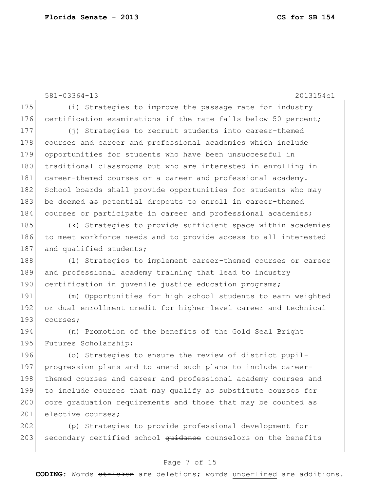581-03364-13 2013154c1 175 (i) Strategies to improve the passage rate for industry 176 certification examinations if the rate falls below 50 percent; 177 (j) Strategies to recruit students into career-themed 178 courses and career and professional academies which include 179 opportunities for students who have been unsuccessful in 180 traditional classrooms but who are interested in enrolling in 181 career-themed courses or a career and professional academy. 182 School boards shall provide opportunities for students who may 183 be deemed as potential dropouts to enroll in career-themed 184 courses or participate in career and professional academies; 185 (k) Strategies to provide sufficient space within academies 186 to meet workforce needs and to provide access to all interested 187 and qualified students; 188 (1) Strategies to implement career-themed courses or career 189 and professional academy training that lead to industry 190 certification in juvenile justice education programs; 191 (m) Opportunities for high school students to earn weighted 192 or dual enrollment credit for higher-level career and technical 193 courses: 194 (n) Promotion of the benefits of the Gold Seal Bright 195 Futures Scholarship; 196 (o) Strategies to ensure the review of district pupil-197 progression plans and to amend such plans to include career-198 themed courses and career and professional academy courses and 199 to include courses that may qualify as substitute courses for 200 core graduation requirements and those that may be counted as 201 elective courses; 202 (p) Strategies to provide professional development for

203 secondary certified school guidance counselors on the benefits

### Page 7 of 15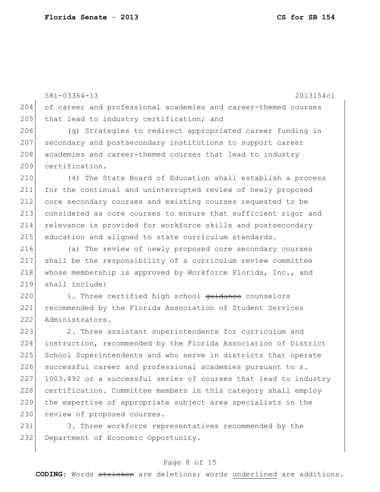581-03364-13 2013154c1 204 of career and professional academies and career-themed courses 205 that lead to industry certification; and

206 (q) Strategies to redirect appropriated career funding in 207 secondary and postsecondary institutions to support career 208 academies and career-themed courses that lead to industry 209 certification.

 (4) The State Board of Education shall establish a process for the continual and uninterrupted review of newly proposed core secondary courses and existing courses requested to be considered as core courses to ensure that sufficient rigor and 214 relevance is provided for workforce skills and postsecondary 215 education and aligned to state curriculum standards.

216 (a) The review of newly proposed core secondary courses 217 shall be the responsibility of a curriculum review committee 218 whose membership is approved by Workforce Florida, Inc., and 219 shall include:

220 1. Three certified high school guidance counselors 221 recommended by the Florida Association of Student Services 222 Administrators.

223 2. Three assistant superintendents for curriculum and 224 instruction, recommended by the Florida Association of District 225 School Superintendents and who serve in districts that operate 226 successful career and professional academies pursuant to s. 227 1003.492 or a successful series of courses that lead to industry 228 certification. Committee members in this category shall employ 229 the expertise of appropriate subject area specialists in the 230 review of proposed courses.

231 3. Three workforce representatives recommended by the 232 Department of Economic Opportunity.

### Page 8 of 15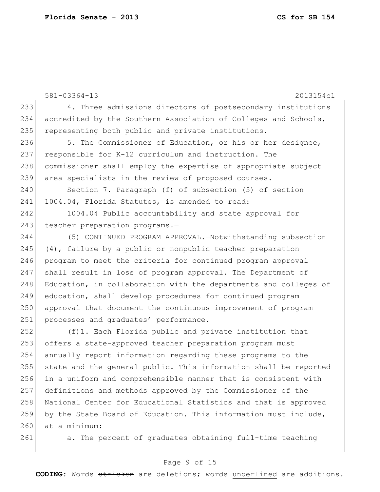581-03364-13 2013154c1 233 4. Three admissions directors of postsecondary institutions 234 accredited by the Southern Association of Colleges and Schools, 235 representing both public and private institutions. 236 5. The Commissioner of Education, or his or her designee, 237 responsible for K-12 curriculum and instruction. The 238 commissioner shall employ the expertise of appropriate subject 239 area specialists in the review of proposed courses. 240 Section 7. Paragraph (f) of subsection (5) of section 241 1004.04, Florida Statutes, is amended to read: 242 1004.04 Public accountability and state approval for 243 teacher preparation programs.-244 (5) CONTINUED PROGRAM APPROVAL.—Notwithstanding subsection 245 (4), failure by a public or nonpublic teacher preparation 246 program to meet the criteria for continued program approval 247 shall result in loss of program approval. The Department of 248 Education, in collaboration with the departments and colleges of 249 education, shall develop procedures for continued program 250 approval that document the continuous improvement of program 251 processes and graduates' performance. 252 (f)1. Each Florida public and private institution that 253 offers a state-approved teacher preparation program must 254 annually report information regarding these programs to the 255 state and the general public. This information shall be reported 256 in a uniform and comprehensible manner that is consistent with 257 definitions and methods approved by the Commissioner of the 258 National Center for Educational Statistics and that is approved 259 by the State Board of Education. This information must include, 260 at a minimum: 261 a. The percent of graduates obtaining full-time teaching

#### Page 9 of 15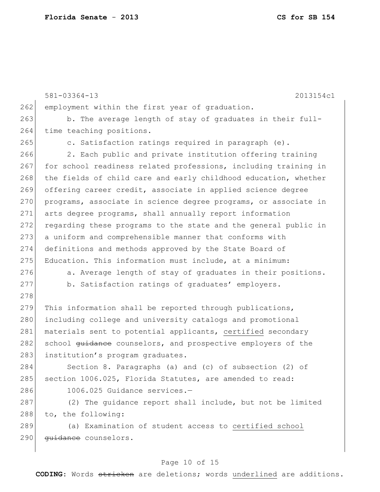|     | 2013154c1<br>$581 - 03364 - 13$                                         |
|-----|-------------------------------------------------------------------------|
| 262 | employment within the first year of graduation.                         |
| 263 | b. The average length of stay of graduates in their full-               |
| 264 | time teaching positions.                                                |
| 265 | c. Satisfaction ratings required in paragraph (e).                      |
| 266 | 2. Each public and private institution offering training                |
| 267 | for school readiness related professions, including training in         |
| 268 | the fields of child care and early childhood education, whether         |
| 269 | offering career credit, associate in applied science degree             |
| 270 | programs, associate in science degree programs, or associate in         |
| 271 | arts degree programs, shall annually report information                 |
| 272 | regarding these programs to the state and the general public in         |
| 273 | a uniform and comprehensible manner that conforms with                  |
| 274 | definitions and methods approved by the State Board of                  |
| 275 | Education. This information must include, at a minimum:                 |
| 276 | a. Average length of stay of graduates in their positions.              |
| 277 | b. Satisfaction ratings of graduates' employers.                        |
| 278 |                                                                         |
| 279 | This information shall be reported through publications,                |
| 280 | including college and university catalogs and promotional               |
| 281 | materials sent to potential applicants, certified secondary             |
| 282 | school <del>quidance</del> counselors, and prospective employers of the |
| 283 | institution's program graduates.                                        |
| 284 | Section 8. Paragraphs (a) and (c) of subsection (2) of                  |
| 285 | section 1006.025, Florida Statutes, are amended to read:                |
| 286 | 1006.025 Guidance services.-                                            |
| 287 | (2) The quidance report shall include, but not be limited               |
| 288 | to, the following:                                                      |
| 289 | (a) Examination of student access to certified school                   |
| 290 | quidance counselors.                                                    |

# Page 10 of 15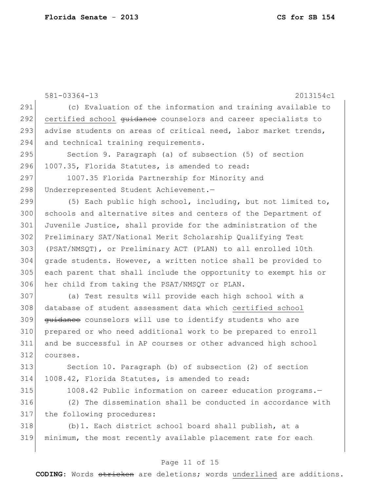581-03364-13 2013154c1 291 (c) Evaluation of the information and training available to 292 certified school guidance counselors and career specialists to 293 advise students on areas of critical need, labor market trends, 294 and technical training requirements. 295 Section 9. Paragraph (a) of subsection (5) of section 296 1007.35, Florida Statutes, is amended to read: 297 1007.35 Florida Partnership for Minority and 298 Underrepresented Student Achievement.-299  $(5)$  Each public high school, including, but not limited to, 300 schools and alternative sites and centers of the Department of 301 Juvenile Justice, shall provide for the administration of the 302 Preliminary SAT/National Merit Scholarship Qualifying Test 303 (PSAT/NMSQT), or Preliminary ACT (PLAN) to all enrolled 10th 304 grade students. However, a written notice shall be provided to 305 each parent that shall include the opportunity to exempt his or 306 her child from taking the PSAT/NMSQT or PLAN. 307 (a) Test results will provide each high school with a 308 database of student assessment data which certified school 309 <del>quidance</del> counselors will use to identify students who are 310 prepared or who need additional work to be prepared to enroll 311 and be successful in AP courses or other advanced high school 312 courses. 313 Section 10. Paragraph (b) of subsection (2) of section 314 1008.42, Florida Statutes, is amended to read: 315 1008.42 Public information on career education programs.-316 (2) The dissemination shall be conducted in accordance with 317 the following procedures: 318 (b)1. Each district school board shall publish, at a 319 minimum, the most recently available placement rate for each

#### Page 11 of 15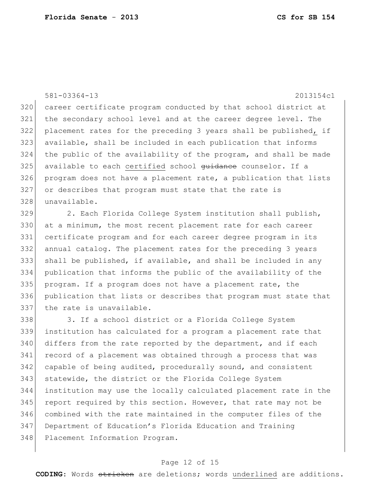581-03364-13 2013154c1 320 career certificate program conducted by that school district at the secondary school level and at the career degree level. The placement rates for the preceding 3 years shall be published, if available, shall be included in each publication that informs the public of the availability of the program, and shall be made 325 available to each certified school guidance counselor. If a program does not have a placement rate, a publication that lists or describes that program must state that the rate is unavailable.

329 2. Each Florida College System institution shall publish, 330 at a minimum, the most recent placement rate for each career certificate program and for each career degree program in its annual catalog. The placement rates for the preceding 3 years shall be published, if available, and shall be included in any publication that informs the public of the availability of the program. If a program does not have a placement rate, the publication that lists or describes that program must state that 337 the rate is unavailable.

338 3. If a school district or a Florida College System 339 institution has calculated for a program a placement rate that  $340$  differs from the rate reported by the department, and if each 341 record of a placement was obtained through a process that was 342 capable of being audited, procedurally sound, and consistent 343 statewide, the district or the Florida College System 344 institution may use the locally calculated placement rate in the 345 report required by this section. However, that rate may not be 346 combined with the rate maintained in the computer files of the 347 Department of Education's Florida Education and Training 348 Placement Information Program.

#### Page 12 of 15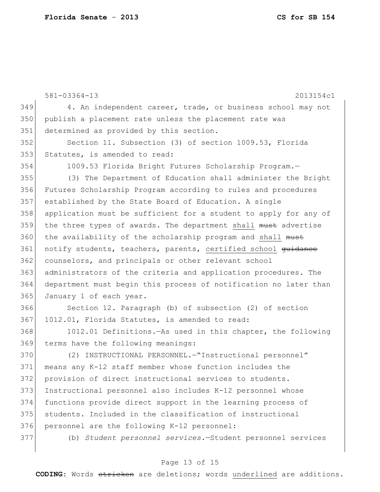581-03364-13 2013154c1 349 4. An independent career, trade, or business school may not publish a placement rate unless the placement rate was 351 determined as provided by this section. Section 11. Subsection (3) of section 1009.53, Florida Statutes, is amended to read: 1009.53 Florida Bright Futures Scholarship Program.— (3) The Department of Education shall administer the Bright Futures Scholarship Program according to rules and procedures established by the State Board of Education. A single application must be sufficient for a student to apply for any of 359 the three types of awards. The department shall must advertise 360 the availability of the scholarship program and shall must 361 notify students, teachers, parents, certified school <del>quidance</del> counselors, and principals or other relevant school administrators of the criteria and application procedures. The department must begin this process of notification no later than January 1 of each year. Section 12. Paragraph (b) of subsection (2) of section 367 1012.01, Florida Statutes, is amended to read: 1012.01 Definitions.—As used in this chapter, the following terms have the following meanings: (2) INSTRUCTIONAL PERSONNEL.—"Instructional personnel" means any K-12 staff member whose function includes the provision of direct instructional services to students. Instructional personnel also includes K-12 personnel whose functions provide direct support in the learning process of students. Included in the classification of instructional 376 personnel are the following K-12 personnel:

(b) *Student personnel services.*—Student personnel services

#### Page 13 of 15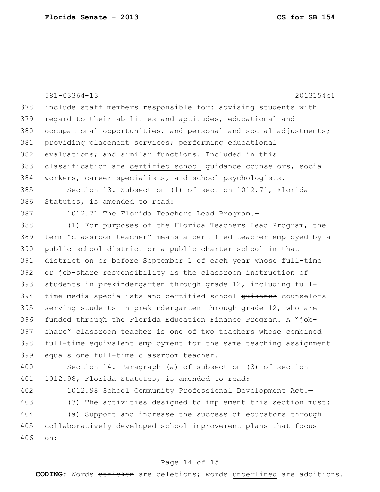|     | $581 - 03364 - 13$<br>2013154c1                                  |
|-----|------------------------------------------------------------------|
| 378 | include staff members responsible for: advising students with    |
| 379 | regard to their abilities and aptitudes, educational and         |
| 380 | occupational opportunities, and personal and social adjustments; |
| 381 | providing placement services; performing educational             |
| 382 | evaluations; and similar functions. Included in this             |
| 383 | classification are certified school guidance counselors, social  |
| 384 | workers, career specialists, and school psychologists.           |
| 385 | Section 13. Subsection (1) of section 1012.71, Florida           |
| 386 | Statutes, is amended to read:                                    |
| 387 | 1012.71 The Florida Teachers Lead Program.-                      |
| 388 | (1) For purposes of the Florida Teachers Lead Program, the       |
| 389 | term "classroom teacher" means a certified teacher employed by a |
| 390 | public school district or a public charter school in that        |
| 391 | district on or before September 1 of each year whose full-time   |
| 392 | or job-share responsibility is the classroom instruction of      |
| 393 | students in prekindergarten through grade 12, including full-    |
| 394 | time media specialists and certified school guidance counselors  |
| 395 | serving students in prekindergarten through grade 12, who are    |
| 396 | funded through the Florida Education Finance Program. A "job-    |
| 397 | share" classroom teacher is one of two teachers whose combined   |
| 398 | full-time equivalent employment for the same teaching assignment |
| 399 | equals one full-time classroom teacher.                          |
| 400 | Section 14. Paragraph (a) of subsection (3) of section           |
| 401 | 1012.98, Florida Statutes, is amended to read:                   |
| 402 | 1012.98 School Community Professional Development Act.-          |
| 403 | (3) The activities designed to implement this section must:      |
| 404 | (a) Support and increase the success of educators through        |
| 405 | collaboratively developed school improvement plans that focus    |

406 on:

# Page 14 of 15